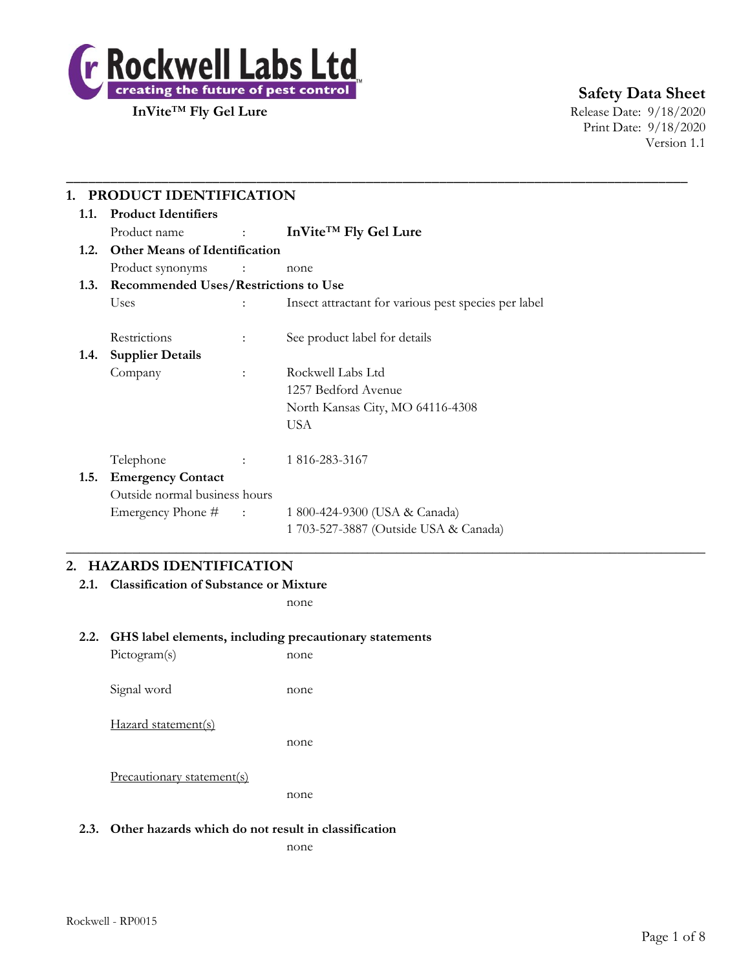

**Safety Data Sheet**

Print Date: 9/18/2020 Version 1.1

| 1.1. | <b>Product Identifiers</b>                |                                                                                                    |                                                      |  |  |
|------|-------------------------------------------|----------------------------------------------------------------------------------------------------|------------------------------------------------------|--|--|
|      | Product name                              | $\mathcal{L}_{\text{max}}$ and $\mathcal{L}_{\text{max}}$ . The $\mathcal{L}_{\text{max}}$         | InVite <sup>™</sup> Fly Gel Lure                     |  |  |
|      | 1.2. Other Means of Identification        |                                                                                                    |                                                      |  |  |
|      | Product synonyms                          | $\mathcal{L}^{\mathcal{L}}$ and $\mathcal{L}^{\mathcal{L}}$ . The same $\mathcal{L}^{\mathcal{L}}$ | none                                                 |  |  |
|      | 1.3. Recommended Uses/Restrictions to Use |                                                                                                    |                                                      |  |  |
|      | Uses                                      | $\ddot{\phantom{a}}$                                                                               | Insect attractant for various pest species per label |  |  |
|      | Restrictions                              | $\ddot{\phantom{a}}$                                                                               | See product label for details                        |  |  |
| 1.4. | <b>Supplier Details</b>                   |                                                                                                    |                                                      |  |  |
|      | Company                                   | $\ddot{\phantom{a}}$                                                                               | Rockwell Labs Ltd                                    |  |  |
|      |                                           |                                                                                                    | 1257 Bedford Avenue                                  |  |  |
|      |                                           |                                                                                                    | North Kansas City, MO 64116-4308                     |  |  |
|      |                                           |                                                                                                    | <b>USA</b>                                           |  |  |
|      | Telephone                                 | <b>Contract Contract</b>                                                                           | 1 816-283-3167                                       |  |  |
| 1.5. | <b>Emergency Contact</b>                  |                                                                                                    |                                                      |  |  |
|      | Outside normal business hours             |                                                                                                    |                                                      |  |  |
|      | Emergency Phone # :                       |                                                                                                    | 1 800-424-9300 (USA & Canada)                        |  |  |
|      |                                           |                                                                                                    | 1 703-527-3887 (Outside USA & Canada)                |  |  |

# **2. HAZARDS IDENTIFICATION**

**2.1. Classification of Substance or Mixture**

none

## **2.2. GHS label elements, including precautionary statements**

Pictogram(s) none Signal word none Hazard statement(s) none Precautionary statement(s) none

## **2.3. Other hazards which do not result in classification**

none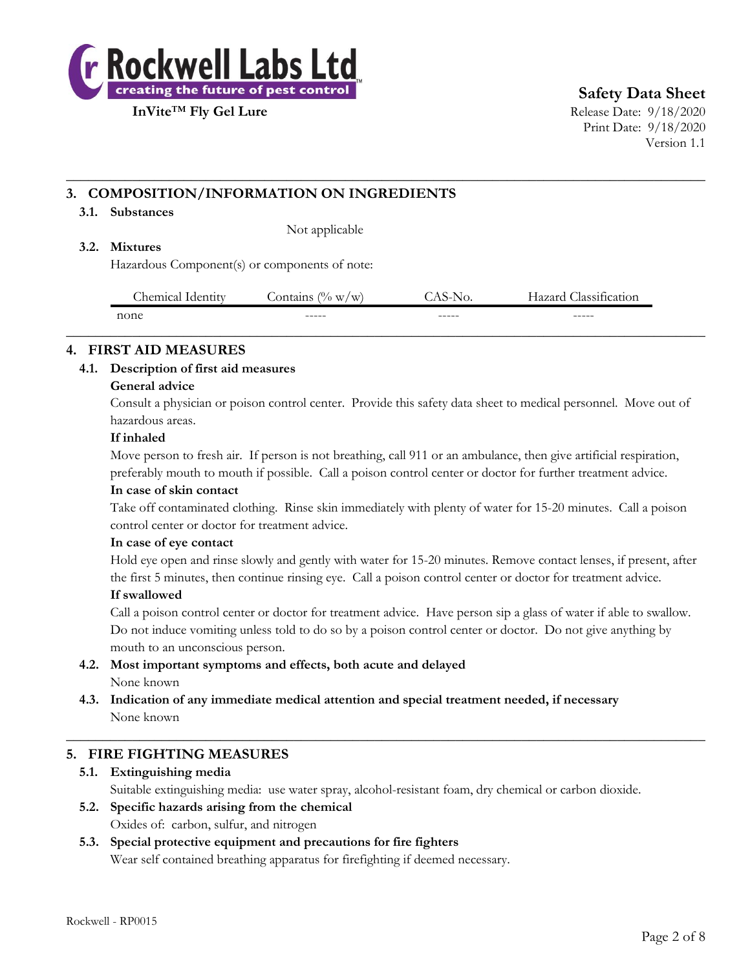

**Safety Data Sheet**

**InVite™ Fly Gel Lure** Release Date: 9/18/2020 Print Date: 9/18/2020 Version 1.1

# **3. COMPOSITION/INFORMATION ON INGREDIENTS**

### **3.1. Substances**

Not applicable

### **3.2. Mixtures**

Hazardous Component(s) or components of note:

| $\sim$<br>hemical. | (0,<br>.ontains<br>W/W<br><b>Identity</b> | NO.    | $\sim$<br>107040<br>lassification |
|--------------------|-------------------------------------------|--------|-----------------------------------|
| none               | ------                                    | ------ | ------                            |
|                    |                                           |        |                                   |

**\_\_\_\_\_\_\_\_\_\_\_\_\_\_\_\_\_\_\_\_\_\_\_\_\_\_\_\_\_\_\_\_\_\_\_\_\_\_\_\_\_\_\_\_\_\_\_\_\_\_\_\_\_\_\_\_\_\_\_\_\_\_\_\_\_\_\_\_\_\_\_\_\_\_\_\_\_\_\_\_\_\_\_\_\_\_\_**

## **4. FIRST AID MEASURES**

### **4.1. Description of first aid measures**

### **General advice**

Consult a physician or poison control center. Provide this safety data sheet to medical personnel. Move out of hazardous areas.

### **If inhaled**

Move person to fresh air. If person is not breathing, call 911 or an ambulance, then give artificial respiration, preferably mouth to mouth if possible. Call a poison control center or doctor for further treatment advice.

### **In case of skin contact**

Take off contaminated clothing. Rinse skin immediately with plenty of water for 15-20 minutes. Call a poison control center or doctor for treatment advice.

### **In case of eye contact**

Hold eye open and rinse slowly and gently with water for 15-20 minutes. Remove contact lenses, if present, after the first 5 minutes, then continue rinsing eye. Call a poison control center or doctor for treatment advice.

### **If swallowed**

Call a poison control center or doctor for treatment advice. Have person sip a glass of water if able to swallow. Do not induce vomiting unless told to do so by a poison control center or doctor. Do not give anything by mouth to an unconscious person.

- **4.2. Most important symptoms and effects, both acute and delayed** None known
- **4.3. Indication of any immediate medical attention and special treatment needed, if necessary** None known

## **5. FIRE FIGHTING MEASURES**

## **5.1. Extinguishing media**

Suitable extinguishing media: use water spray, alcohol-resistant foam, dry chemical or carbon dioxide.

 $\_$  , and the set of the set of the set of the set of the set of the set of the set of the set of the set of the set of the set of the set of the set of the set of the set of the set of the set of the set of the set of th

**5.2. Specific hazards arising from the chemical** Oxides of: carbon, sulfur, and nitrogen

# **5.3. Special protective equipment and precautions for fire fighters**

Wear self contained breathing apparatus for firefighting if deemed necessary.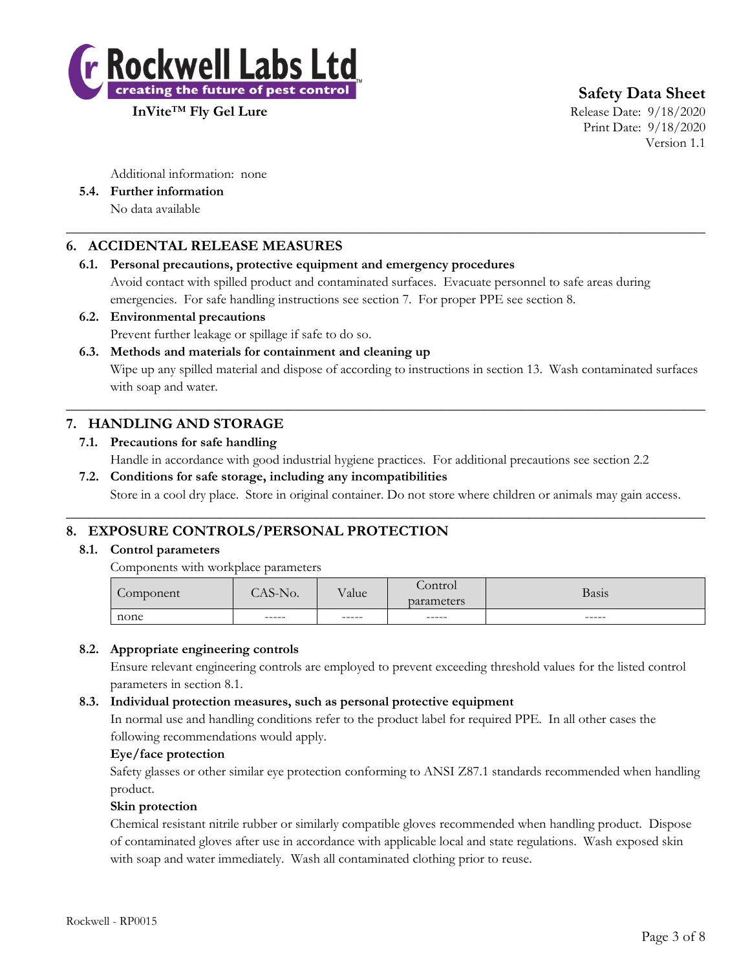

**InVite™ Fly Gel Lure** Release Date: 9/18/2020

**Safety Data Sheet**

Print Date: 9/18/2020 Version 1.1

Additional information: none

**5.4. Further information** No data available

# **6. ACCIDENTAL RELEASE MEASURES**

## **6.1. Personal precautions, protective equipment and emergency procedures**

Avoid contact with spilled product and contaminated surfaces. Evacuate personnel to safe areas during emergencies. For safe handling instructions see section 7. For proper PPE see section 8.

 $\_$  , and the set of the set of the set of the set of the set of the set of the set of the set of the set of the set of the set of the set of the set of the set of the set of the set of the set of the set of the set of th

### **6.2. Environmental precautions**

Prevent further leakage or spillage if safe to do so.

**6.3. Methods and materials for containment and cleaning up** Wipe up any spilled material and dispose of according to instructions in section 13. Wash contaminated surfaces with soap and water.

 $\_$  , and the set of the set of the set of the set of the set of the set of the set of the set of the set of the set of the set of the set of the set of the set of the set of the set of the set of the set of the set of th

# **7. HANDLING AND STORAGE**

# **7.1. Precautions for safe handling** Handle in accordance with good industrial hygiene practices. For additional precautions see section 2.2

**7.2. Conditions for safe storage, including any incompatibilities** Store in a cool dry place. Store in original container. Do not store where children or animals may gain access.

 $\_$  , and the set of the set of the set of the set of the set of the set of the set of the set of the set of the set of the set of the set of the set of the set of the set of the set of the set of the set of the set of th

# **8. EXPOSURE CONTROLS/PERSONAL PROTECTION**

## **8.1. Control parameters**

Components with workplace parameters

| none      | $- - - - -$    | $------$ | -----                 | ------ |
|-----------|----------------|----------|-----------------------|--------|
| Component | $\Delta$ S-No. | Value    | control<br>parameters | Basis  |
|           |                |          |                       |        |

## **8.2. Appropriate engineering controls**

Ensure relevant engineering controls are employed to prevent exceeding threshold values for the listed control parameters in section 8.1.

## **8.3. Individual protection measures, such as personal protective equipment**

In normal use and handling conditions refer to the product label for required PPE. In all other cases the following recommendations would apply.

## **Eye/face protection**

Safety glasses or other similar eye protection conforming to ANSI Z87.1 standards recommended when handling product.

### **Skin protection**

Chemical resistant nitrile rubber or similarly compatible gloves recommended when handling product. Dispose of contaminated gloves after use in accordance with applicable local and state regulations. Wash exposed skin with soap and water immediately. Wash all contaminated clothing prior to reuse.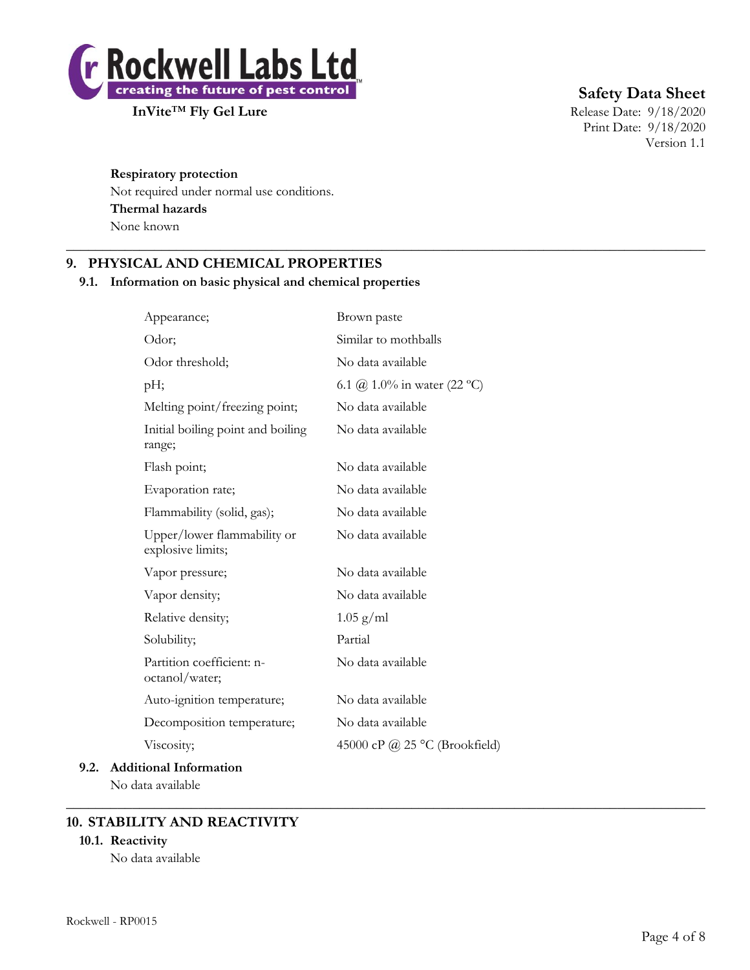

**Safety Data Sheet**

Print Date: 9/18/2020 Version 1.1

# **Respiratory protection**

Not required under normal use conditions. **Thermal hazards** None known

# **9. PHYSICAL AND CHEMICAL PROPERTIES**

## **9.1. Information on basic physical and chemical properties**

| Appearance;                                      | Brown paste                   |
|--------------------------------------------------|-------------------------------|
| Odor;                                            | Similar to mothballs          |
| Odor threshold;                                  | No data available             |
| pH;                                              | 6.1 (a) 1.0% in water (22 °C) |
| Melting point/freezing point;                    | No data available             |
| Initial boiling point and boiling<br>range;      | No data available             |
| Flash point;                                     | No data available             |
| Evaporation rate;                                | No data available             |
| Flammability (solid, gas);                       | No data available             |
| Upper/lower flammability or<br>explosive limits; | No data available             |
| Vapor pressure;                                  | No data available             |
| Vapor density;                                   | No data available             |
| Relative density;                                | $1.05$ g/ml                   |
| Solubility;                                      | Partial                       |
| Partition coefficient: n-<br>octanol/water;      | No data available             |
| Auto-ignition temperature;                       | No data available             |
| Decomposition temperature;                       | No data available             |
| Viscosity;                                       | 45000 cP @ 25 °C (Brookfield) |
| 9.2. Additional Information                      |                               |

 $\_$  , and the set of the set of the set of the set of the set of the set of the set of the set of the set of the set of the set of the set of the set of the set of the set of the set of the set of the set of the set of th

 $\_$  , and the set of the set of the set of the set of the set of the set of the set of the set of the set of the set of the set of the set of the set of the set of the set of the set of the set of the set of the set of th

No data available

# **10. STABILITY AND REACTIVITY**

## **10.1. Reactivity**

No data available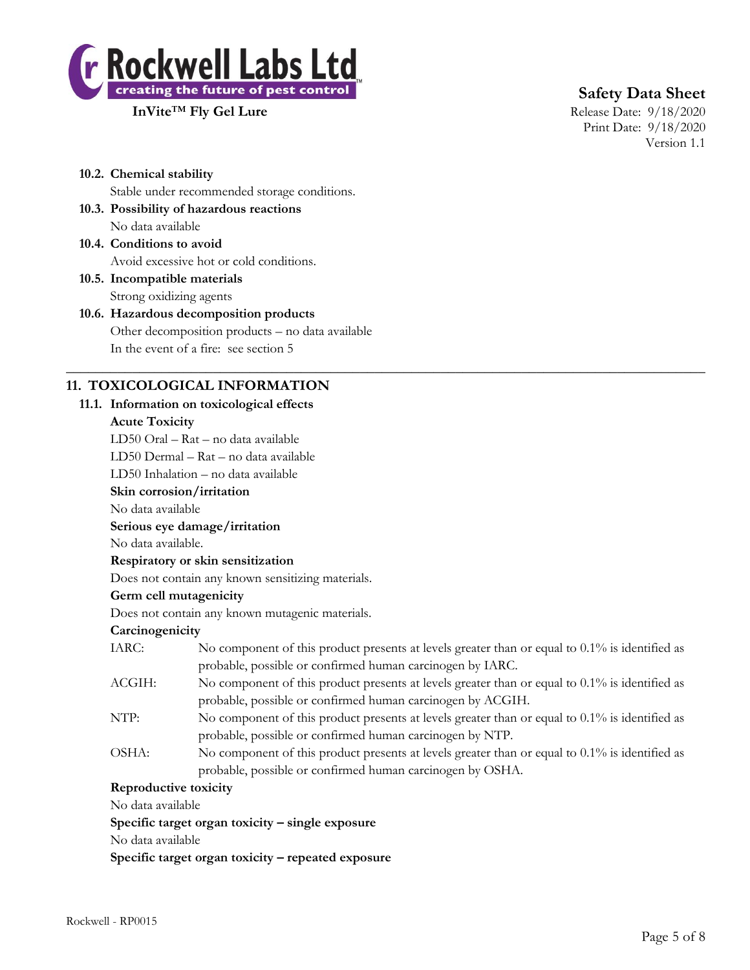

**InVite™ Fly Gel Lure** Release Date: 9/18/2020

# **Safety Data Sheet**

Print Date: 9/18/2020 Version 1.1

- **10.2. Chemical stability** Stable under recommended storage conditions.
- **10.3. Possibility of hazardous reactions** No data available
- **10.4. Conditions to avoid** Avoid excessive hot or cold conditions.

**10.5. Incompatible materials** Strong oxidizing agents

# **10.6. Hazardous decomposition products** Other decomposition products – no data available In the event of a fire: see section 5

# **11. TOXICOLOGICAL INFORMATION**

## **11.1. Information on toxicological effects**

### **Acute Toxicity**

LD50 Oral – Rat – no data available

LD50 Dermal – Rat – no data available

LD50 Inhalation – no data available

# **Skin corrosion/irritation**

No data available

## **Serious eye damage/irritation**

No data available.

## **Respiratory or skin sensitization**

Does not contain any known sensitizing materials.

## **Germ cell mutagenicity**

Does not contain any known mutagenic materials.

## **Carcinogenicity**

| IARC: | No component of this product presents at levels greater than or equal to 0.1% is identified as |
|-------|------------------------------------------------------------------------------------------------|
|       | probable, possible or confirmed human carcinogen by IARC.                                      |

 $\_$  , and the set of the set of the set of the set of the set of the set of the set of the set of the set of the set of the set of the set of the set of the set of the set of the set of the set of the set of the set of th

- ACGIH: No component of this product presents at levels greater than or equal to 0.1% is identified as probable, possible or confirmed human carcinogen by ACGIH.
- NTP: No component of this product presents at levels greater than or equal to 0.1% is identified as probable, possible or confirmed human carcinogen by NTP.
- OSHA: No component of this product presents at levels greater than or equal to 0.1% is identified as probable, possible or confirmed human carcinogen by OSHA.

## **Reproductive toxicity**

No data available

**Specific target organ toxicity – single exposure**

No data available

**Specific target organ toxicity – repeated exposure**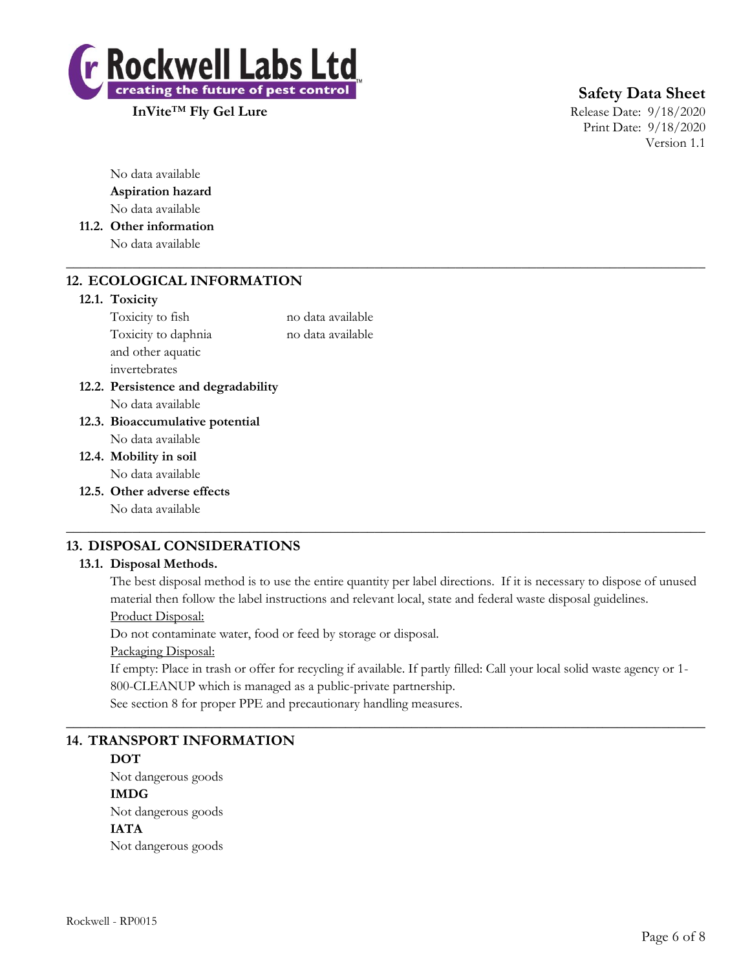

**Safety Data Sheet**

Print Date: 9/18/2020 Version 1.1

No data available **Aspiration hazard** No data available

**11.2. Other information** No data available

# **12. ECOLOGICAL INFORMATION**

### **12.1. Toxicity**

Toxicity to fish no data available Toxicity to daphnia no data available and other aquatic invertebrates

 $\_$  , and the set of the set of the set of the set of the set of the set of the set of the set of the set of the set of the set of the set of the set of the set of the set of the set of the set of the set of the set of th

- **12.2. Persistence and degradability** No data available
- **12.3. Bioaccumulative potential** No data available
- **12.4. Mobility in soil** No data available
- **12.5. Other adverse effects** No data available

# **13. DISPOSAL CONSIDERATIONS**

## **13.1. Disposal Methods.**

The best disposal method is to use the entire quantity per label directions. If it is necessary to dispose of unused material then follow the label instructions and relevant local, state and federal waste disposal guidelines. Product Disposal:

 $\_$  , and the set of the set of the set of the set of the set of the set of the set of the set of the set of the set of the set of the set of the set of the set of the set of the set of the set of the set of the set of th

Do not contaminate water, food or feed by storage or disposal.

Packaging Disposal:

If empty: Place in trash or offer for recycling if available. If partly filled: Call your local solid waste agency or 1- 800-CLEANUP which is managed as a public-private partnership.

 $\_$  , and the set of the set of the set of the set of the set of the set of the set of the set of the set of the set of the set of the set of the set of the set of the set of the set of the set of the set of the set of th

See section 8 for proper PPE and precautionary handling measures.

## **14. TRANSPORT INFORMATION**

### **DOT**

Not dangerous goods **IMDG** Not dangerous goods **IATA** Not dangerous goods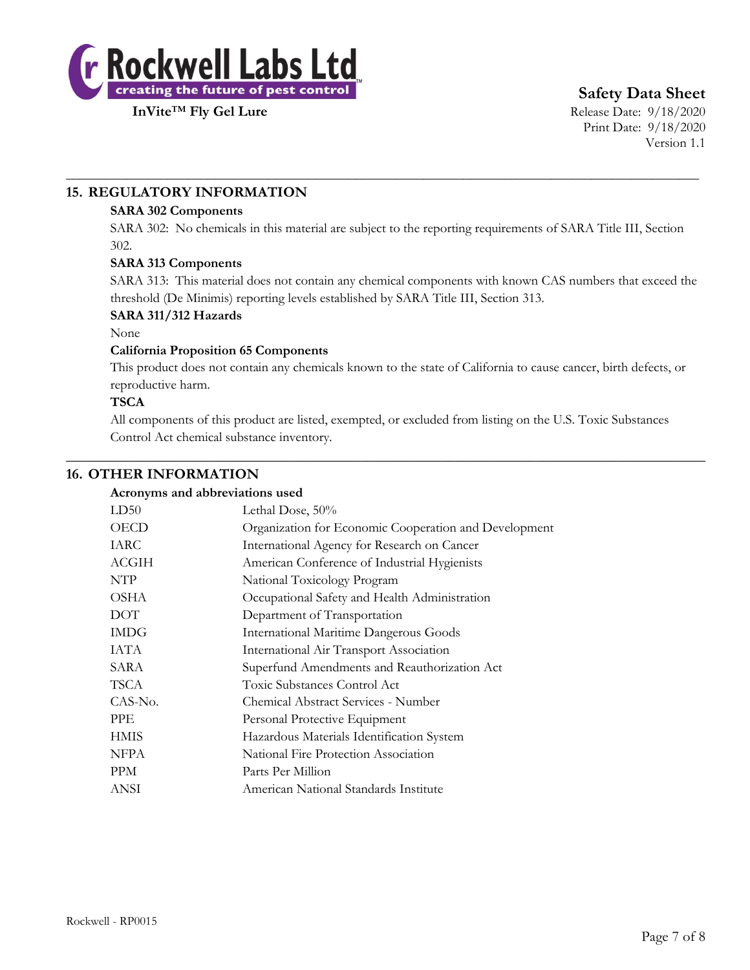

**Safety Data Sheet**

Print Date: 9/18/2020 Version 1.1

# **15. REGULATORY INFORMATION**

## **SARA 302 Components**

SARA 302: No chemicals in this material are subject to the reporting requirements of SARA Title III, Section 302.

\_\_\_\_\_\_\_\_\_\_\_\_\_\_\_\_\_\_\_\_\_\_\_\_\_\_\_\_\_\_\_\_\_\_\_\_\_\_\_\_\_\_\_\_\_\_\_\_\_\_\_\_\_\_\_\_\_\_\_\_\_\_\_\_\_\_\_\_\_\_\_\_\_\_\_\_\_\_\_\_\_\_\_\_\_\_\_\_\_\_\_\_\_\_

## **SARA 313 Components**

SARA 313: This material does not contain any chemical components with known CAS numbers that exceed the threshold (De Minimis) reporting levels established by SARA Title III, Section 313.

### **SARA 311/312 Hazards**

None

## **California Proposition 65 Components**

This product does not contain any chemicals known to the state of California to cause cancer, birth defects, or reproductive harm.

### **TSCA**

All components of this product are listed, exempted, or excluded from listing on the U.S. Toxic Substances Control Act chemical substance inventory.

 $\_$  , and the set of the set of the set of the set of the set of the set of the set of the set of the set of the set of the set of the set of the set of the set of the set of the set of the set of the set of the set of th

## **16. OTHER INFORMATION**

| Acronyms and abbreviations used |                                                                                                                                   |  |
|---------------------------------|-----------------------------------------------------------------------------------------------------------------------------------|--|
| LD50                            | Lethal Dose, 50%                                                                                                                  |  |
| OECD                            | Organization for Economic Cooperation and Development                                                                             |  |
| <b>IARC</b>                     | International Agency for Research on Cancer                                                                                       |  |
| ACGIH                           | American Conference of Industrial Hygienists                                                                                      |  |
| <b>NTP</b>                      | National Toxicology Program                                                                                                       |  |
| OSHA                            | Occupational Safety and Health Administration                                                                                     |  |
| $\Gamma\cap\Gamma$              | $\mathbf{D}_{\text{max}}$ , where $\mathbf{D}_{\text{max}} = \mathbf{C} \mathbf{T}$ are a set of set of $\mathbf{D}_{\text{max}}$ |  |

| <b>DOT</b>  | Department of Transportation                  |
|-------------|-----------------------------------------------|
| <b>IMDG</b> | <b>International Maritime Dangerous Goods</b> |
| IATA        | International Air Transport Association       |
| SARA        | Superfund Amendments and Reauthorization Act  |
| <b>TSCA</b> | Toxic Substances Control Act                  |
| CAS-No.     | Chemical Abstract Services - Number           |
| <b>PPE</b>  | Personal Protective Equipment                 |
| <b>HMIS</b> | Hazardous Materials Identification System     |
| NFPA        | National Fire Protection Association          |
| <b>PPM</b>  | Parts Per Million                             |
| ANSI        | American National Standards Institute         |